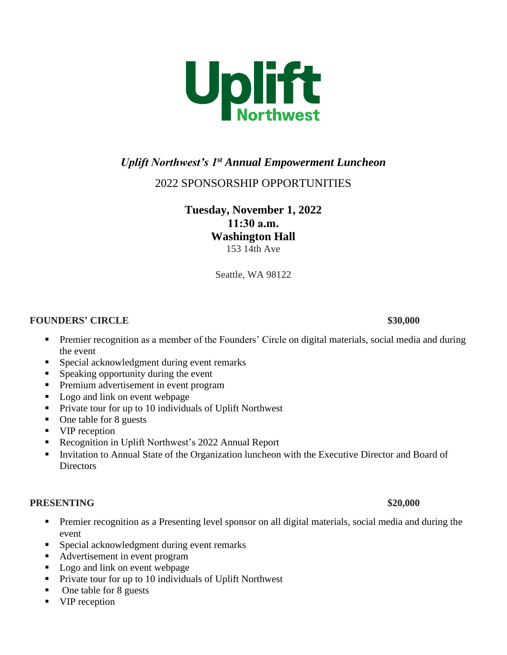

# *Uplift Northwest's 1st Annual Empowerment Luncheon*

# 2022 SPONSORSHIP OPPORTUNITIES

**Tuesday, November 1, 2022 11:30 a.m. Washington Hall**  153 14th Ave

Seattle, WA 98122

### **FOUNDERS' CIRCLE** \$30,000

- **•** Premier recognition as a member of the Founders' Circle on digital materials, social media and during the event
- Special acknowledgment during event remarks
- Speaking opportunity during the event
- **•** Premium advertisement in event program
- Logo and link on event webpage
- Private tour for up to 10 individuals of Uplift Northwest
- One table for 8 guests
- VIP reception
- Recognition in Uplift Northwest's 2022 Annual Report
- Invitation to Annual State of the Organization luncheon with the Executive Director and Board of **Directors**

### **PRESENTING** \$20,000

- **•** Premier recognition as a Presenting level sponsor on all digital materials, social media and during the event
- **•** Special acknowledgment during event remarks
- Advertisement in event program
- Logo and link on event webpage
- Private tour for up to 10 individuals of Uplift Northwest
- One table for 8 guests
- VIP reception